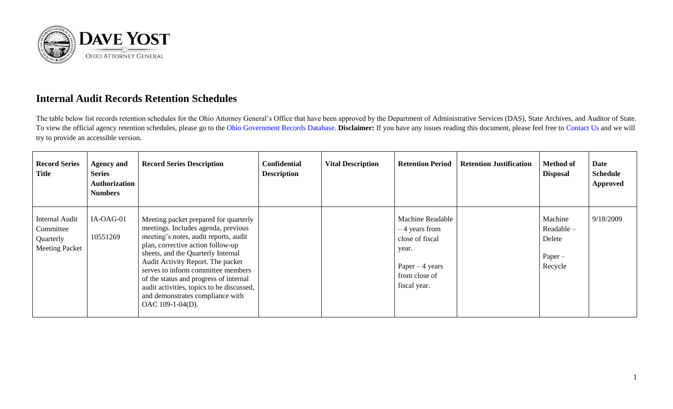

## **Internal Audit Records Retention Schedules**

The table below list records retention schedules for the Ohio Attorney General's Office that have been approved by the Department of Administrative Services (DAS), State Archives, and Auditor of State. To view the official agency retention schedules, please go to the [Ohio Government Records Database.](https://apps.das.ohio.gov/RIMS/GeneralSchedule) **Disclaimer:** If you have any issues reading this document, please feel free to [Contact Us](https://www.ohioattorneygeneral.gov/About-AG/Contact) and we will try to provide an accessible version.

| <b>Record Series</b><br>Title                                     | <b>Agency and</b><br><b>Series</b><br><b>Authorization</b><br><b>Numbers</b> | <b>Record Series Description</b>                                                                                                                                                                                                                                                                                                                                                                                           | <b>Confidential</b><br><b>Description</b> | <b>Vital Description</b> | <b>Retention Period</b>                                                                                                     | <b>Retention Justification</b> | <b>Method of</b><br><b>Disposal</b>                       | Date<br><b>Schedule</b><br><b>Approved</b> |
|-------------------------------------------------------------------|------------------------------------------------------------------------------|----------------------------------------------------------------------------------------------------------------------------------------------------------------------------------------------------------------------------------------------------------------------------------------------------------------------------------------------------------------------------------------------------------------------------|-------------------------------------------|--------------------------|-----------------------------------------------------------------------------------------------------------------------------|--------------------------------|-----------------------------------------------------------|--------------------------------------------|
| Internal Audit<br>Committee<br>Quarterly<br><b>Meeting Packet</b> | IA-OAG-01<br>10551269                                                        | Meeting packet prepared for quarterly<br>meetings. Includes agenda, previous<br>meeting's notes, audit reports, audit<br>plan, corrective action follow-up<br>sheets, and the Quarterly Internal<br>Audit Activity Report. The packet<br>serves to inform committee members<br>of the status and progress of internal<br>audit activities, topics to be discussed,<br>and demonstrates compliance with<br>OAC 109-1-04(D). |                                           |                          | <b>Machine Readable</b><br>$-4$ years from<br>close of fiscal<br>year.<br>Paper $-4$ years<br>from close of<br>fiscal year. |                                | Machine<br>$Readable -$<br>Delete<br>$Paper -$<br>Recycle | 9/18/2009                                  |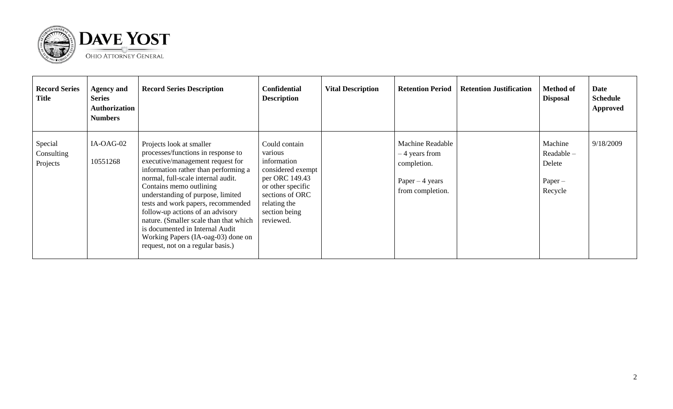

| <b>Record Series</b><br><b>Title</b> | <b>Agency and</b><br><b>Series</b><br><b>Authorization</b><br><b>Numbers</b> | <b>Record Series Description</b>                                                                                                                                                                                                                                                                                                                                                                                                                                                   | <b>Confidential</b><br><b>Description</b>                                                                                                                              | <b>Vital Description</b> | <b>Retention Period</b>                                                                          | <b>Retention Justification</b> | <b>Method of</b><br><b>Disposal</b>                     | Date<br><b>Schedule</b><br><b>Approved</b> |
|--------------------------------------|------------------------------------------------------------------------------|------------------------------------------------------------------------------------------------------------------------------------------------------------------------------------------------------------------------------------------------------------------------------------------------------------------------------------------------------------------------------------------------------------------------------------------------------------------------------------|------------------------------------------------------------------------------------------------------------------------------------------------------------------------|--------------------------|--------------------------------------------------------------------------------------------------|--------------------------------|---------------------------------------------------------|--------------------------------------------|
| Special<br>Consulting<br>Projects    | IA-OAG-02<br>10551268                                                        | Projects look at smaller<br>processes/functions in response to<br>executive/management request for<br>information rather than performing a<br>normal, full-scale internal audit.<br>Contains memo outlining<br>understanding of purpose, limited<br>tests and work papers, recommended<br>follow-up actions of an advisory<br>nature. (Smaller scale than that which<br>is documented in Internal Audit<br>Working Papers (IA-oag-03) done on<br>request, not on a regular basis.) | Could contain<br>various<br>information<br>considered exempt 1<br>per ORC 149.43<br>or other specific<br>sections of ORC<br>relating the<br>section being<br>reviewed. |                          | <b>Machine Readable</b><br>– 4 years from<br>completion.<br>Paper $-4$ years<br>from completion. |                                | Machine<br>Readable -<br>Delete<br>$Paper -$<br>Recycle | 9/18/2009                                  |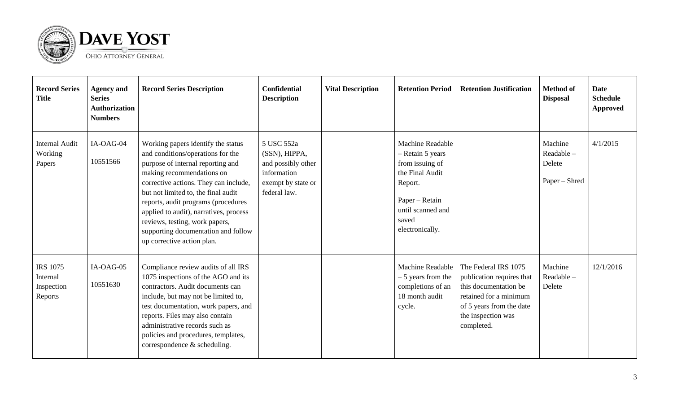

| <b>Record Series</b><br><b>Title</b>                 | <b>Agency and</b><br><b>Series</b><br><b>Authorization</b><br><b>Numbers</b> | <b>Record Series Description</b>                                                                                                                                                                                                                                                                                                                                                                                  | <b>Confidential</b><br><b>Description</b>                                                              | <b>Vital Description</b> | <b>Retention Period</b>                                                                                                                                  | <b>Retention Justification</b>                                                                                                                                       | <b>Method of</b><br><b>Disposal</b>             | Date<br><b>Schedule</b><br><b>Approved</b> |
|------------------------------------------------------|------------------------------------------------------------------------------|-------------------------------------------------------------------------------------------------------------------------------------------------------------------------------------------------------------------------------------------------------------------------------------------------------------------------------------------------------------------------------------------------------------------|--------------------------------------------------------------------------------------------------------|--------------------------|----------------------------------------------------------------------------------------------------------------------------------------------------------|----------------------------------------------------------------------------------------------------------------------------------------------------------------------|-------------------------------------------------|--------------------------------------------|
| <b>Internal Audit</b><br>Working<br>Papers           | IA-OAG-04<br>10551566                                                        | Working papers identify the status<br>and conditions/operations for the<br>purpose of internal reporting and<br>making recommendations on<br>corrective actions. They can include,<br>but not limited to, the final audit<br>reports, audit programs (procedures<br>applied to audit), narratives, process<br>reviews, testing, work papers,<br>supporting documentation and follow<br>up corrective action plan. | 5 USC 552a<br>(SSN), HIPPA,<br>and possibly other<br>information<br>exempt by state or<br>federal law. |                          | Machine Readable<br>- Retain 5 years<br>from issuing of<br>the Final Audit<br>Report.<br>Paper - Retain<br>until scanned and<br>saved<br>electronically. |                                                                                                                                                                      | Machine<br>Readable-<br>Delete<br>Paper – Shred | 4/1/2015                                   |
| <b>IRS 1075</b><br>Internal<br>Inspection<br>Reports | IA-OAG-05<br>10551630                                                        | Compliance review audits of all IRS<br>1075 inspections of the AGO and its<br>contractors. Audit documents can<br>include, but may not be limited to,<br>test documentation, work papers, and<br>reports. Files may also contain<br>administrative records such as<br>policies and procedures, templates,<br>correspondence $\&$ scheduling.                                                                      |                                                                                                        |                          | Machine Readable<br>$-5$ years from the<br>completions of an<br>18 month audit<br>cycle.                                                                 | The Federal IRS 1075<br>publication requires that<br>this documentation be<br>retained for a minimum<br>of 5 years from the date<br>the inspection was<br>completed. | Machine<br>Readable-<br>Delete                  | 12/1/2016                                  |